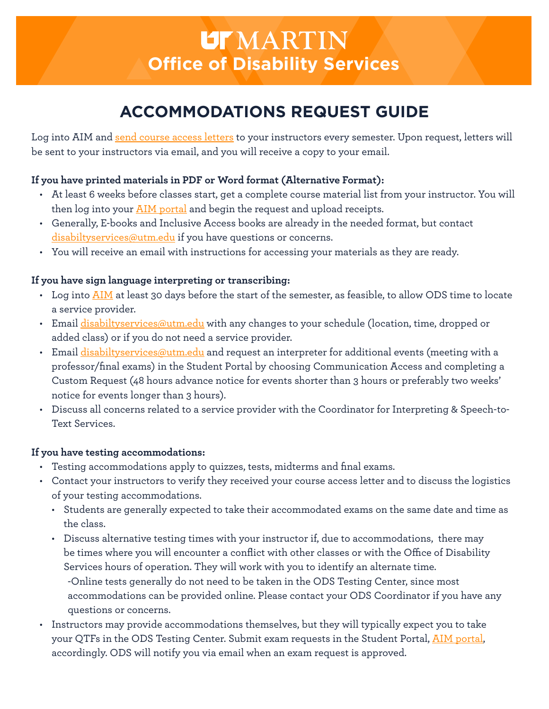# **UT** MARTIN **Office of Disability Services**

# **ACCOMMODATIONS REQUEST GUIDE**

Log into AIM and [send course access letters](https://bachelor.accessiblelearning.com/UTM/ApplicationStudent.aspx) to your instructors every semester. Upon request, letters will be sent to your instructors via email, and you will receive a copy to your email.

# **If you have printed materials in PDF or Word format (Alternative Format):**

- At least 6 weeks before classes start, get a complete course material list from your instructor. You will then log into your **AIM** portal and begin the request and upload receipts.
- Generally, E-books and Inclusive Access books are already in the needed format, but contact  $disability$ services@utm.edu if you have questions or concerns.
- You will receive an email with instructions for accessing your materials as they are ready.

### **If you have sign language interpreting or transcribing:**

- Log into [AIM](file:///var/folders/yd/mf3z1dm576sdycpg62w91ch00000gs/T/com.microsoft.Outlook/Outlook Temp/AIM portal) at least 30 days before the start of the semester, as feasible, to allow ODS time to locate a service provider.
- Email [disabiltyservices@utm.edu](mailto:disabiltyservices%40utm.edu?subject=) with any changes to your schedule (location, time, dropped or added class) or if you do not need a service provider.
- Email  $disability$ services@utm.edu and request an interpreter for additional events (meeting with a professor/final exams) in the Student Portal by choosing Communication Access and completing a Custom Request (48 hours advance notice for events shorter than 3 hours or preferably two weeks' notice for events longer than 3 hours).
- Discuss all concerns related to a service provider with the Coordinator for Interpreting & Speech-to-Text Services.

## **If you have testing accommodations:**

- Testing accommodations apply to quizzes, tests, midterms and final exams.
- Contact your instructors to verify they received your course access letter and to discuss the logistics of your testing accommodations.
	- Students are generally expected to take their accommodated exams on the same date and time as the class.
	- Discuss alternative testing times with your instructor if, due to accommodations, there may be times where you will encounter a conflict with other classes or with the Office of Disability Services hours of operation. They will work with you to identify an alternate time. -Online tests generally do not need to be taken in the ODS Testing Center, since most accommodations can be provided online. Please contact your ODS Coordinator if you have any questions or concerns.
- Instructors may provide accommodations themselves, but they will typically expect you to take your QTFs in the ODS Testing Center. Submit exam requests in the Student Portal, [AIM portal,](https://bachelor.accessiblelearning.com/UTM/ApplicationStudent.aspx) accordingly. ODS will notify you via email when an exam request is approved.